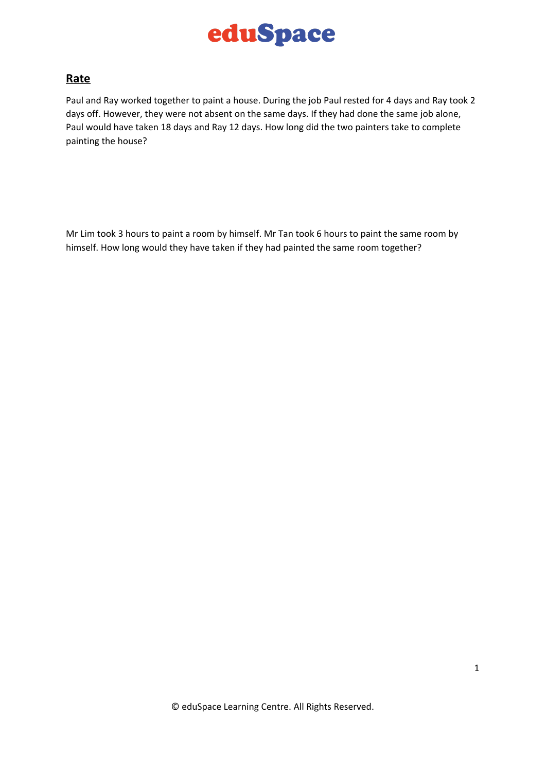

#### **Rate**

Paul and Ray worked together to paint a house. During the job Paul rested for 4 days and Ray took 2 days off. However, they were not absent on the same days. If they had done the same job alone, Paul would have taken 18 days and Ray 12 days. How long did the two painters take to complete painting the house?

Mr Lim took 3 hours to paint a room by himself. Mr Tan took 6 hours to paint the same room by himself. How long would they have taken if they had painted the same room together?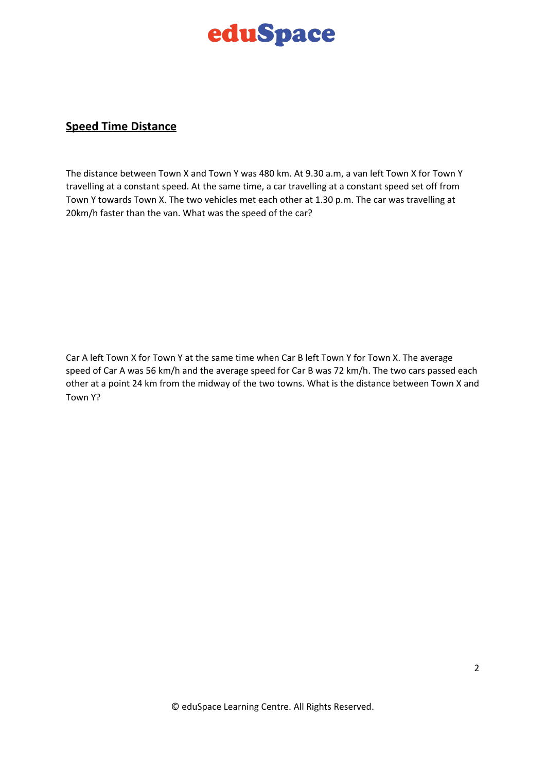# eduSpace

#### **Speed Time Distance**

The distance between Town X and Town Y was 480 km. At 9.30 a.m, a van left Town X for Town Y travelling at a constant speed. At the same time, a car travelling at a constant speed set off from Town Y towards Town X. The two vehicles met each other at 1.30 p.m. The car was travelling at 20km/h faster than the van. What was the speed of the car?

Car A left Town X for Town Y at the same time when Car B left Town Y for Town X. The average speed of Car A was 56 km/h and the average speed for Car B was 72 km/h. The two cars passed each other at a point 24 km from the midway of the two towns. What is the distance between Town X and Town Y?